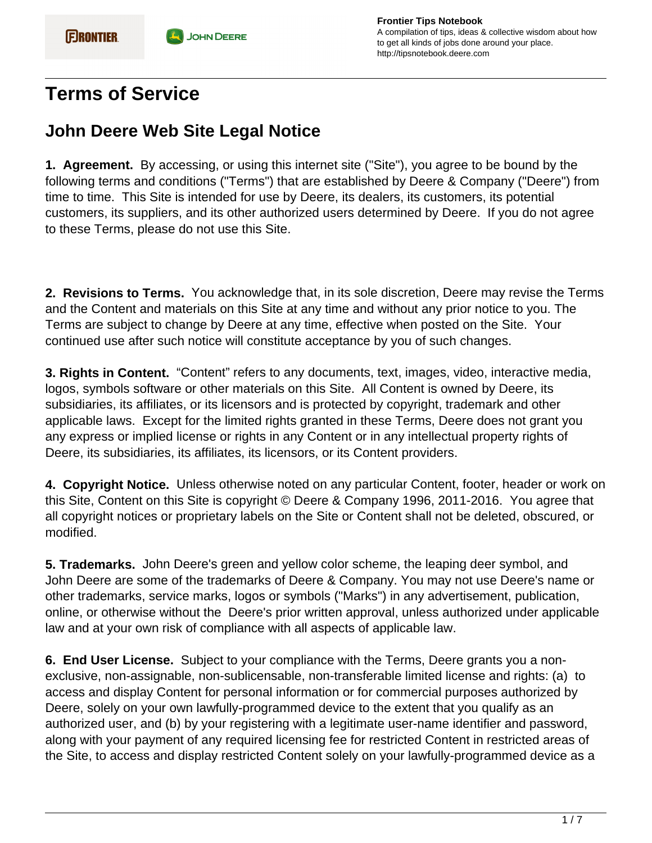## **Terms of Service**

## **John Deere Web Site Legal Notice**

**1. Agreement.** By accessing, or using this internet site ("Site"), you agree to be bound by the following terms and conditions ("Terms") that are established by Deere & Company ("Deere") from time to time. This Site is intended for use by Deere, its dealers, its customers, its potential customers, its suppliers, and its other authorized users determined by Deere. If you do not agree to these Terms, please do not use this Site.

**2. Revisions to Terms.** You acknowledge that, in its sole discretion, Deere may revise the Terms and the Content and materials on this Site at any time and without any prior notice to you. The Terms are subject to change by Deere at any time, effective when posted on the Site. Your continued use after such notice will constitute acceptance by you of such changes.

**3. Rights in Content.** "Content" refers to any documents, text, images, video, interactive media, logos, symbols software or other materials on this Site. All Content is owned by Deere, its subsidiaries, its affiliates, or its licensors and is protected by copyright, trademark and other applicable laws. Except for the limited rights granted in these Terms, Deere does not grant you any express or implied license or rights in any Content or in any intellectual property rights of Deere, its subsidiaries, its affiliates, its licensors, or its Content providers.

**4. Copyright Notice.** Unless otherwise noted on any particular Content, footer, header or work on this Site, Content on this Site is copyright © Deere & Company 1996, 2011-2016. You agree that all copyright notices or proprietary labels on the Site or Content shall not be deleted, obscured, or modified.

**5. Trademarks.** John Deere's green and yellow color scheme, the leaping deer symbol, and John Deere are some of the trademarks of Deere & Company. You may not use Deere's name or other trademarks, service marks, logos or symbols ("Marks") in any advertisement, publication, online, or otherwise without the Deere's prior written approval, unless authorized under applicable law and at your own risk of compliance with all aspects of applicable law.

**6. End User License.** Subject to your compliance with the Terms, Deere grants you a nonexclusive, non-assignable, non-sublicensable, non-transferable limited license and rights: (a) to access and display Content for personal information or for commercial purposes authorized by Deere, solely on your own lawfully-programmed device to the extent that you qualify as an authorized user, and (b) by your registering with a legitimate user-name identifier and password, along with your payment of any required licensing fee for restricted Content in restricted areas of the Site, to access and display restricted Content solely on your lawfully-programmed device as a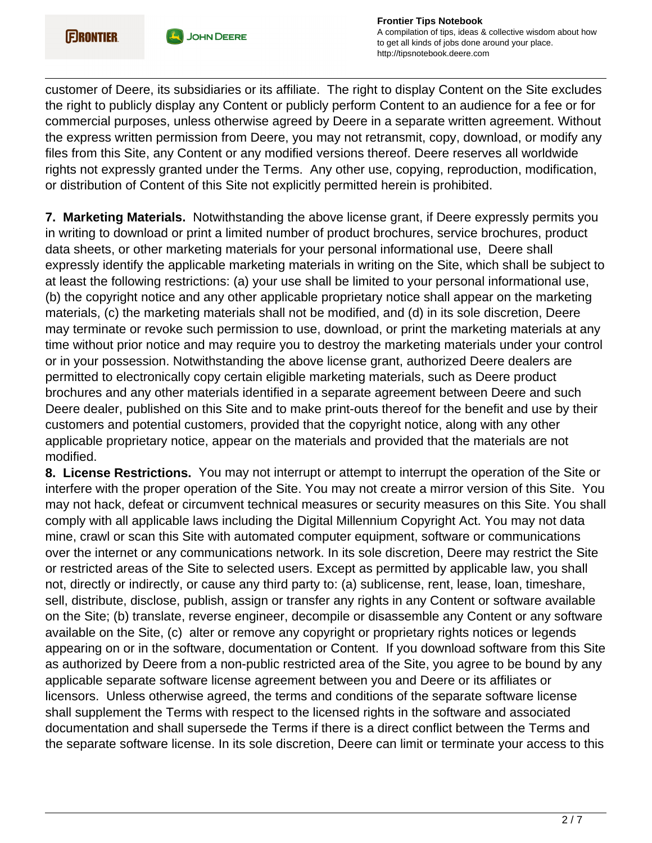

customer of Deere, its subsidiaries or its affiliate. The right to display Content on the Site excludes the right to publicly display any Content or publicly perform Content to an audience for a fee or for commercial purposes, unless otherwise agreed by Deere in a separate written agreement. Without the express written permission from Deere, you may not retransmit, copy, download, or modify any files from this Site, any Content or any modified versions thereof. Deere reserves all worldwide rights not expressly granted under the Terms. Any other use, copying, reproduction, modification, or distribution of Content of this Site not explicitly permitted herein is prohibited.

**7. Marketing Materials.** Notwithstanding the above license grant, if Deere expressly permits you in writing to download or print a limited number of product brochures, service brochures, product data sheets, or other marketing materials for your personal informational use, Deere shall expressly identify the applicable marketing materials in writing on the Site, which shall be subject to at least the following restrictions: (a) your use shall be limited to your personal informational use, (b) the copyright notice and any other applicable proprietary notice shall appear on the marketing materials, (c) the marketing materials shall not be modified, and (d) in its sole discretion, Deere may terminate or revoke such permission to use, download, or print the marketing materials at any time without prior notice and may require you to destroy the marketing materials under your control or in your possession. Notwithstanding the above license grant, authorized Deere dealers are permitted to electronically copy certain eligible marketing materials, such as Deere product brochures and any other materials identified in a separate agreement between Deere and such Deere dealer, published on this Site and to make print-outs thereof for the benefit and use by their customers and potential customers, provided that the copyright notice, along with any other applicable proprietary notice, appear on the materials and provided that the materials are not modified.

**8. License Restrictions.** You may not interrupt or attempt to interrupt the operation of the Site or interfere with the proper operation of the Site. You may not create a mirror version of this Site. You may not hack, defeat or circumvent technical measures or security measures on this Site. You shall comply with all applicable laws including the Digital Millennium Copyright Act. You may not data mine, crawl or scan this Site with automated computer equipment, software or communications over the internet or any communications network. In its sole discretion, Deere may restrict the Site or restricted areas of the Site to selected users. Except as permitted by applicable law, you shall not, directly or indirectly, or cause any third party to: (a) sublicense, rent, lease, loan, timeshare, sell, distribute, disclose, publish, assign or transfer any rights in any Content or software available on the Site; (b) translate, reverse engineer, decompile or disassemble any Content or any software available on the Site, (c) alter or remove any copyright or proprietary rights notices or legends appearing on or in the software, documentation or Content. If you download software from this Site as authorized by Deere from a non-public restricted area of the Site, you agree to be bound by any applicable separate software license agreement between you and Deere or its affiliates or licensors. Unless otherwise agreed, the terms and conditions of the separate software license shall supplement the Terms with respect to the licensed rights in the software and associated documentation and shall supersede the Terms if there is a direct conflict between the Terms and the separate software license. In its sole discretion, Deere can limit or terminate your access to this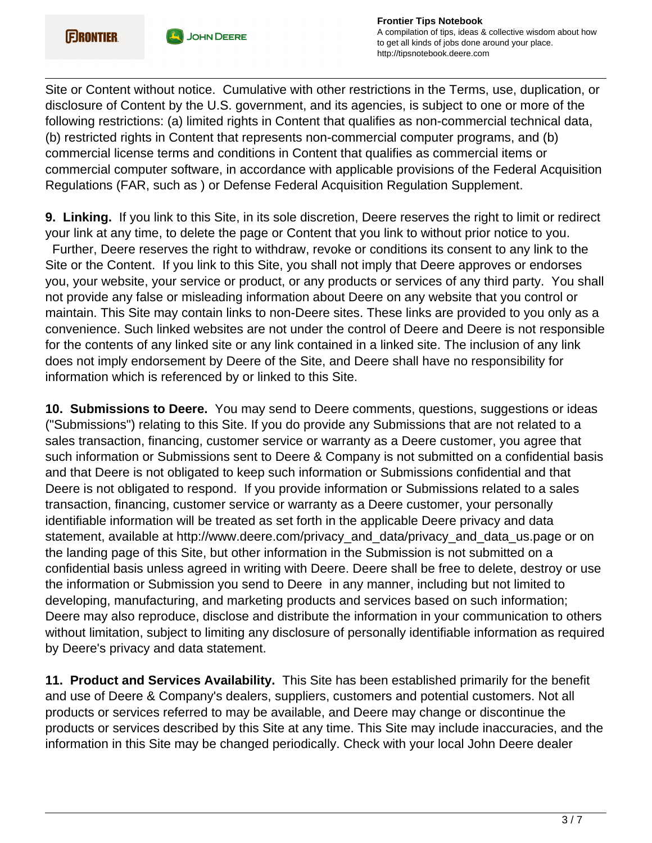

Site or Content without notice. Cumulative with other restrictions in the Terms, use, duplication, or disclosure of Content by the U.S. government, and its agencies, is subject to one or more of the following restrictions: (a) limited rights in Content that qualifies as non-commercial technical data, (b) restricted rights in Content that represents non-commercial computer programs, and (b) commercial license terms and conditions in Content that qualifies as commercial items or commercial computer software, in accordance with applicable provisions of the Federal Acquisition Regulations (FAR, such as ) or Defense Federal Acquisition Regulation Supplement.

**9. Linking.** If you link to this Site, in its sole discretion, Deere reserves the right to limit or redirect your link at any time, to delete the page or Content that you link to without prior notice to you. Further, Deere reserves the right to withdraw, revoke or conditions its consent to any link to the Site or the Content. If you link to this Site, you shall not imply that Deere approves or endorses you, your website, your service or product, or any products or services of any third party. You shall not provide any false or misleading information about Deere on any website that you control or maintain. This Site may contain links to non-Deere sites. These links are provided to you only as a convenience. Such linked websites are not under the control of Deere and Deere is not responsible for the contents of any linked site or any link contained in a linked site. The inclusion of any link does not imply endorsement by Deere of the Site, and Deere shall have no responsibility for information which is referenced by or linked to this Site.

**10. Submissions to Deere.** You may send to Deere comments, questions, suggestions or ideas ("Submissions") relating to this Site. If you do provide any Submissions that are not related to a sales transaction, financing, customer service or warranty as a Deere customer, you agree that such information or Submissions sent to Deere & Company is not submitted on a confidential basis and that Deere is not obligated to keep such information or Submissions confidential and that Deere is not obligated to respond. If you provide information or Submissions related to a sales transaction, financing, customer service or warranty as a Deere customer, your personally identifiable information will be treated as set forth in the applicable Deere privacy and data statement, available at http://www.deere.com/privacy\_and\_data/privacy\_and\_data\_us.page or on the landing page of this Site, but other information in the Submission is not submitted on a confidential basis unless agreed in writing with Deere. Deere shall be free to delete, destroy or use the information or Submission you send to Deere in any manner, including but not limited to developing, manufacturing, and marketing products and services based on such information; Deere may also reproduce, disclose and distribute the information in your communication to others without limitation, subject to limiting any disclosure of personally identifiable information as required by Deere's privacy and data statement.

**11. Product and Services Availability.** This Site has been established primarily for the benefit and use of Deere & Company's dealers, suppliers, customers and potential customers. Not all products or services referred to may be available, and Deere may change or discontinue the products or services described by this Site at any time. This Site may include inaccuracies, and the information in this Site may be changed periodically. Check with your local John Deere dealer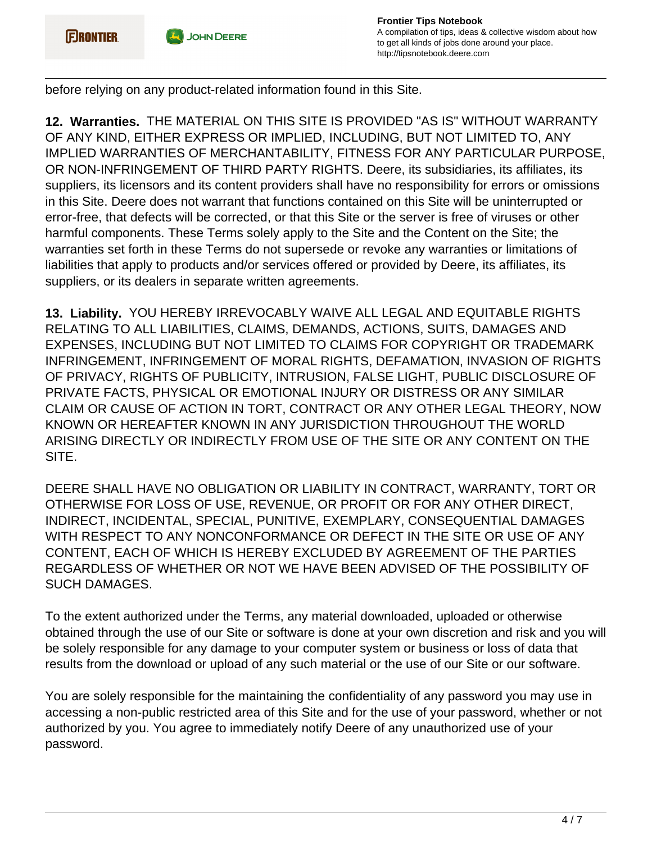

before relying on any product-related information found in this Site.

**12. Warranties.** THE MATERIAL ON THIS SITE IS PROVIDED "AS IS" WITHOUT WARRANTY OF ANY KIND, EITHER EXPRESS OR IMPLIED, INCLUDING, BUT NOT LIMITED TO, ANY IMPLIED WARRANTIES OF MERCHANTABILITY, FITNESS FOR ANY PARTICULAR PURPOSE, OR NON-INFRINGEMENT OF THIRD PARTY RIGHTS. Deere, its subsidiaries, its affiliates, its suppliers, its licensors and its content providers shall have no responsibility for errors or omissions in this Site. Deere does not warrant that functions contained on this Site will be uninterrupted or error-free, that defects will be corrected, or that this Site or the server is free of viruses or other harmful components. These Terms solely apply to the Site and the Content on the Site; the warranties set forth in these Terms do not supersede or revoke any warranties or limitations of liabilities that apply to products and/or services offered or provided by Deere, its affiliates, its suppliers, or its dealers in separate written agreements.

**13. Liability.** YOU HEREBY IRREVOCABLY WAIVE ALL LEGAL AND EQUITABLE RIGHTS RELATING TO ALL LIABILITIES, CLAIMS, DEMANDS, ACTIONS, SUITS, DAMAGES AND EXPENSES, INCLUDING BUT NOT LIMITED TO CLAIMS FOR COPYRIGHT OR TRADEMARK INFRINGEMENT, INFRINGEMENT OF MORAL RIGHTS, DEFAMATION, INVASION OF RIGHTS OF PRIVACY, RIGHTS OF PUBLICITY, INTRUSION, FALSE LIGHT, PUBLIC DISCLOSURE OF PRIVATE FACTS, PHYSICAL OR EMOTIONAL INJURY OR DISTRESS OR ANY SIMILAR CLAIM OR CAUSE OF ACTION IN TORT, CONTRACT OR ANY OTHER LEGAL THEORY, NOW KNOWN OR HEREAFTER KNOWN IN ANY JURISDICTION THROUGHOUT THE WORLD ARISING DIRECTLY OR INDIRECTLY FROM USE OF THE SITE OR ANY CONTENT ON THE SITE.

DEERE SHALL HAVE NO OBLIGATION OR LIABILITY IN CONTRACT, WARRANTY, TORT OR OTHERWISE FOR LOSS OF USE, REVENUE, OR PROFIT OR FOR ANY OTHER DIRECT, INDIRECT, INCIDENTAL, SPECIAL, PUNITIVE, EXEMPLARY, CONSEQUENTIAL DAMAGES WITH RESPECT TO ANY NONCONFORMANCE OR DEFECT IN THE SITE OR USE OF ANY CONTENT, EACH OF WHICH IS HEREBY EXCLUDED BY AGREEMENT OF THE PARTIES REGARDLESS OF WHETHER OR NOT WE HAVE BEEN ADVISED OF THE POSSIBILITY OF SUCH DAMAGES.

To the extent authorized under the Terms, any material downloaded, uploaded or otherwise obtained through the use of our Site or software is done at your own discretion and risk and you will be solely responsible for any damage to your computer system or business or loss of data that results from the download or upload of any such material or the use of our Site or our software.

You are solely responsible for the maintaining the confidentiality of any password you may use in accessing a non-public restricted area of this Site and for the use of your password, whether or not authorized by you. You agree to immediately notify Deere of any unauthorized use of your password.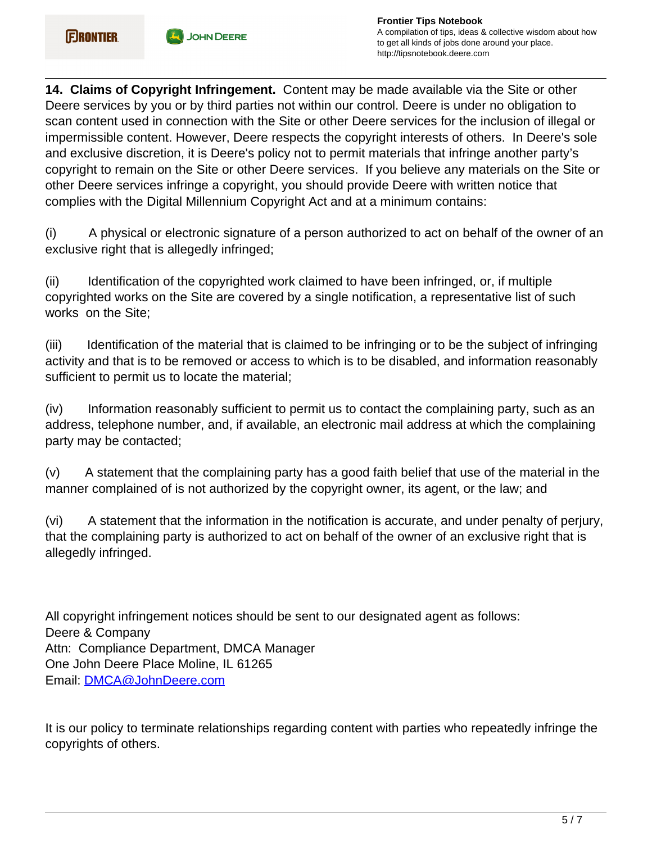

**14. Claims of Copyright Infringement.** Content may be made available via the Site or other Deere services by you or by third parties not within our control. Deere is under no obligation to scan content used in connection with the Site or other Deere services for the inclusion of illegal or impermissible content. However, Deere respects the copyright interests of others. In Deere's sole and exclusive discretion, it is Deere's policy not to permit materials that infringe another party's copyright to remain on the Site or other Deere services. If you believe any materials on the Site or other Deere services infringe a copyright, you should provide Deere with written notice that complies with the Digital Millennium Copyright Act and at a minimum contains:

(i) A physical or electronic signature of a person authorized to act on behalf of the owner of an exclusive right that is allegedly infringed;

(ii) Identification of the copyrighted work claimed to have been infringed, or, if multiple copyrighted works on the Site are covered by a single notification, a representative list of such works on the Site;

(iii) Identification of the material that is claimed to be infringing or to be the subject of infringing activity and that is to be removed or access to which is to be disabled, and information reasonably sufficient to permit us to locate the material;

(iv) Information reasonably sufficient to permit us to contact the complaining party, such as an address, telephone number, and, if available, an electronic mail address at which the complaining party may be contacted;

(v) A statement that the complaining party has a good faith belief that use of the material in the manner complained of is not authorized by the copyright owner, its agent, or the law; and

(vi) A statement that the information in the notification is accurate, and under penalty of perjury, that the complaining party is authorized to act on behalf of the owner of an exclusive right that is allegedly infringed.

All copyright infringement notices should be sent to our designated agent as follows: Deere & Company Attn: Compliance Department, DMCA Manager One John Deere Place Moline, IL 61265 Email: [DMCA@JohnDeere.com](mailto:DMCA@JohnDeere.com)

It is our policy to terminate relationships regarding content with parties who repeatedly infringe the copyrights of others.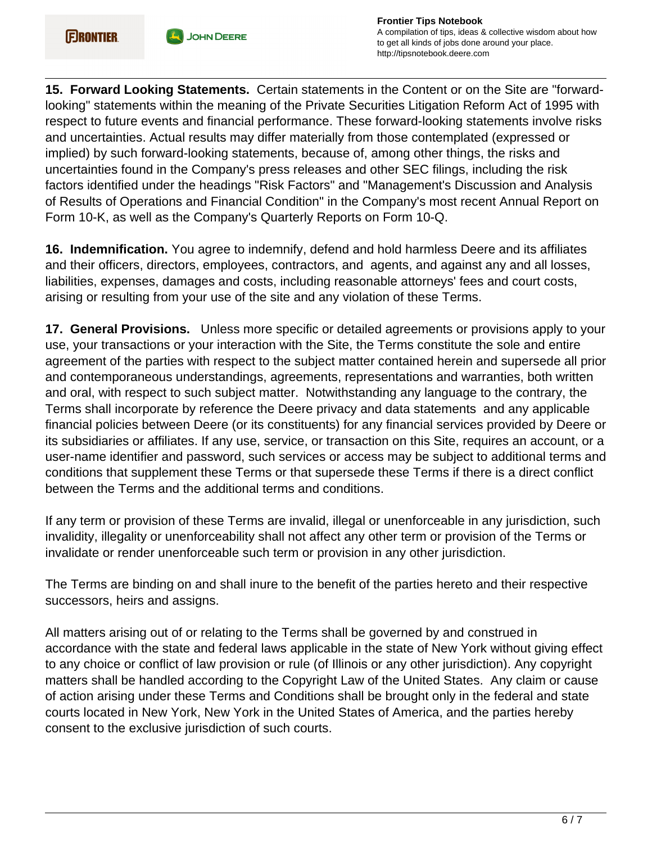

**15. Forward Looking Statements.** Certain statements in the Content or on the Site are "forwardlooking" statements within the meaning of the Private Securities Litigation Reform Act of 1995 with respect to future events and financial performance. These forward-looking statements involve risks and uncertainties. Actual results may differ materially from those contemplated (expressed or implied) by such forward-looking statements, because of, among other things, the risks and uncertainties found in the Company's press releases and other SEC filings, including the risk factors identified under the headings "Risk Factors" and "Management's Discussion and Analysis of Results of Operations and Financial Condition" in the Company's most recent Annual Report on Form 10-K, as well as the Company's Quarterly Reports on Form 10-Q.

**16. Indemnification.** You agree to indemnify, defend and hold harmless Deere and its affiliates and their officers, directors, employees, contractors, and agents, and against any and all losses, liabilities, expenses, damages and costs, including reasonable attorneys' fees and court costs, arising or resulting from your use of the site and any violation of these Terms.

**17. General Provisions.** Unless more specific or detailed agreements or provisions apply to your use, your transactions or your interaction with the Site, the Terms constitute the sole and entire agreement of the parties with respect to the subject matter contained herein and supersede all prior and contemporaneous understandings, agreements, representations and warranties, both written and oral, with respect to such subject matter. Notwithstanding any language to the contrary, the Terms shall incorporate by reference the Deere privacy and data statements and any applicable financial policies between Deere (or its constituents) for any financial services provided by Deere or its subsidiaries or affiliates. If any use, service, or transaction on this Site, requires an account, or a user-name identifier and password, such services or access may be subject to additional terms and conditions that supplement these Terms or that supersede these Terms if there is a direct conflict between the Terms and the additional terms and conditions.

If any term or provision of these Terms are invalid, illegal or unenforceable in any jurisdiction, such invalidity, illegality or unenforceability shall not affect any other term or provision of the Terms or invalidate or render unenforceable such term or provision in any other jurisdiction.

The Terms are binding on and shall inure to the benefit of the parties hereto and their respective successors, heirs and assigns.

All matters arising out of or relating to the Terms shall be governed by and construed in accordance with the state and federal laws applicable in the state of New York without giving effect to any choice or conflict of law provision or rule (of Illinois or any other jurisdiction). Any copyright matters shall be handled according to the Copyright Law of the United States. Any claim or cause of action arising under these Terms and Conditions shall be brought only in the federal and state courts located in New York, New York in the United States of America, and the parties hereby consent to the exclusive jurisdiction of such courts.